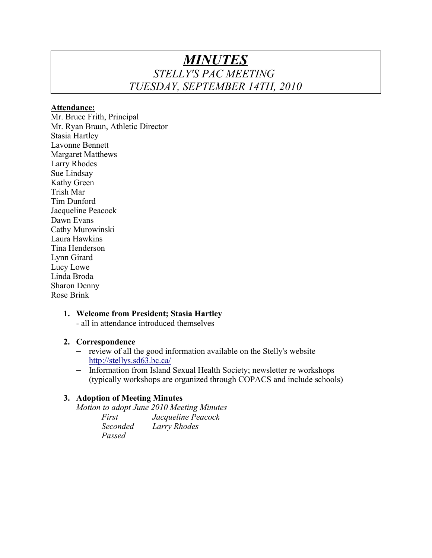# *MINUTES STELLY'S PAC MEETING TUESDAY, SEPTEMBER 14TH, 2010*

#### **Attendance:**

Mr. Bruce Frith, Principal Mr. Ryan Braun, Athletic Director Stasia Hartley Lavonne Bennett Margaret Matthews Larry Rhodes Sue Lindsay Kathy Green Trish Mar Tim Dunford Jacqueline Peacock Dawn Evans Cathy Murowinski Laura Hawkins Tina Henderson Lynn Girard Lucy Lowe Linda Broda Sharon Denny Rose Brink

# **1. Welcome from President; Stasia Hartley**

- all in attendance introduced themselves

# **2. Correspondence**

- review of all the good information available on the Stelly's website <http://stellys.sd63.bc.ca/>
- Information from Island Sexual Health Society; newsletter re workshops (typically workshops are organized through COPACS and include schools)

# **3. Adoption of Meeting Minutes**

*Motion to adopt June 2010 Meeting Minutes*

| First    | Jacqueline Peacock |
|----------|--------------------|
| Seconded | Larry Rhodes       |
| Passed   |                    |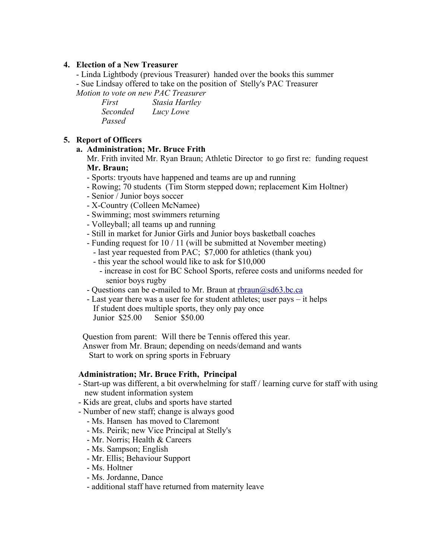### **4. Election of a New Treasurer**

- Linda Lightbody (previous Treasurer) handed over the books this summer - Sue Lindsay offered to take on the position of Stelly's PAC Treasurer

*Motion to vote on new PAC Treasurer* 

| First    | Stasia Hartley |
|----------|----------------|
| Seconded | Lucy Lowe      |
| Passed   |                |

# **5. Report of Officers**

#### **a. Administration; Mr. Bruce Frith**

 Mr. Frith invited Mr. Ryan Braun; Athletic Director to go first re: funding request **Mr. Braun;** 

- Sports: tryouts have happened and teams are up and running
- Rowing; 70 students (Tim Storm stepped down; replacement Kim Holtner)
- Senior / Junior boys soccer
- X-Country (Colleen McNamee)
- Swimming; most swimmers returning
- Volleyball; all teams up and running
- Still in market for Junior Girls and Junior boys basketball coaches
- Funding request for 10 / 11 (will be submitted at November meeting)
- last year requested from PAC; \$7,000 for athletics (thank you)
- this year the school would like to ask for \$10,000
	- increase in cost for BC School Sports, referee costs and uniforms needed for senior boys rugby
- Questions can be e-mailed to Mr. Braun at rhraun@sd63.bc.ca
- Last year there was a user fee for student athletes; user pays it helps If student does multiple sports, they only pay once Junior \$25.00 Senior \$50.00

Question from parent: Will there be Tennis offered this year.

Answer from Mr. Braun; depending on needs/demand and wants

Start to work on spring sports in February

#### **Administration; Mr. Bruce Frith, Principal**

- Start-up was different, a bit overwhelming for staff / learning curve for staff with using new student information system
- Kids are great, clubs and sports have started
- Number of new staff; change is always good
	- Ms. Hansen has moved to Claremont
	- Ms. Peirik; new Vice Principal at Stelly's
	- Mr. Norris; Health & Careers
	- Ms. Sampson; English
	- Mr. Ellis; Behaviour Support
	- Ms. Holtner
	- Ms. Jordanne, Dance
	- additional staff have returned from maternity leave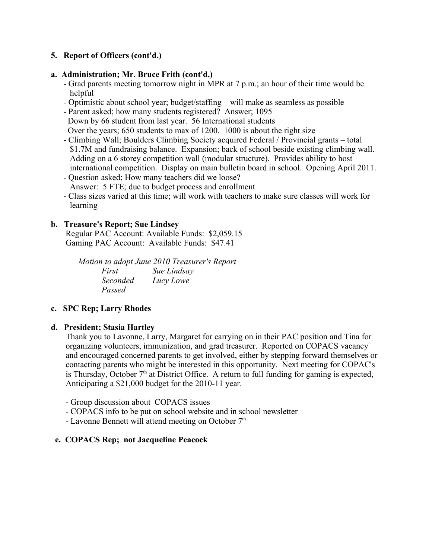# **5. Report of Officers (cont'd.)**

# **a. Administration; Mr. Bruce Frith (cont'd.)**

- Grad parents meeting tomorrow night in MPR at 7 p.m.; an hour of their time would be helpful
- Optimistic about school year; budget/staffing will make as seamless as possible
- Parent asked; how many students registered? Answer; 1095 Down by 66 student from last year. 56 International students Over the years; 650 students to max of 1200. 1000 is about the right size
- Climbing Wall; Boulders Climbing Society acquired Federal / Provincial grants total \$1.7M and fundraising balance. Expansion; back of school beside existing climbing wall. Adding on a 6 storey competition wall (modular structure). Provides ability to host international competition. Display on main bulletin board in school. Opening April 2011.
- Question asked; How many teachers did we loose? Answer: 5 FTE; due to budget process and enrollment
- Class sizes varied at this time; will work with teachers to make sure classes will work for learning

# **b. Treasure's Report; Sue Lindsey**

 Regular PAC Account: Available Funds: \$2,059.15 Gaming PAC Account: Available Funds: \$47.41

*Motion to adopt June 2010 Treasurer's Report First Sue Lindsay Seconded Lucy Lowe Passed*

# **c. SPC Rep; Larry Rhodes**

# **d. President; Stasia Hartley**

Thank you to Lavonne, Larry, Margaret for carrying on in their PAC position and Tina for organizing volunteers, immunization, and grad treasurer. Reported on COPACS vacancy and encouraged concerned parents to get involved, either by stepping forward themselves or contacting parents who might be interested in this opportunity. Next meeting for COPAC's is Thursday, October  $7<sup>th</sup>$  at District Office. A return to full funding for gaming is expected, Anticipating a \$21,000 budget for the 2010-11 year.

- Group discussion about COPACS issues
- COPACS info to be put on school website and in school newsletter
- Lavonne Bennett will attend meeting on October  $7<sup>th</sup>$

# **e. COPACS Rep; not Jacqueline Peacock**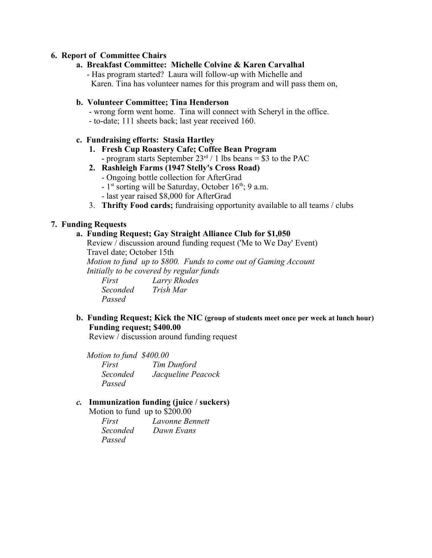## **6. Report of Committee Chairs**

**a. Breakfast Committee: Michelle Colvine & Karen Carvalhal** - Has program started? Laura will follow-up with Michelle and Karen. Tina has volunteer names for this program and will pass them on,

#### **b. Volunteer Committee; Tina Henderson**

- wrong form went home. Tina will connect with Scheryl in the office.
- to-date; 111 sheets back; last year received 160.

#### **c. Fundraising efforts: Stasia Hartley**

- **1. Fresh Cup Roastery Cafe; Coffee Bean Program** - program starts September  $23<sup>rd</sup> / 1$  lbs beans = \$3 to the PAC
- **2. Rashleigh Farms (1947 Stelly's Cross Road)**
	- Ongoing bottle collection for AfterGrad
	- $-1$ <sup>st</sup> sorting will be Saturday, October 16<sup>th</sup>; 9 a.m.
	- last year raised \$8,000 for AfterGrad
- 3. **Thrifty Food cards;** fundraising opportunity available to all teams / clubs

#### **7. Funding Requests**

### **a. Funding Request; Gay Straight Alliance Club for \$1,050**

 Review / discussion around funding request ('Me to We Day' Event) Travel date; October 15th

 *Motion to fund up to \$800. Funds to come out of Gaming Account Initially to be covered by regular funds* 

*First Larry Rhodes Seconded Trish Mar Passed*

# **b. Funding Request; Kick the NIC (group of students meet once per week at lunch hour) Funding request; \$400.00**

Review / discussion around funding request

 *Motion to fund \$400.00 First Tim Dunford Seconded Jacqueline Peacock Passed*

#### *c.* **Immunization funding (juice / suckers)**

Motion to fund up to \$200.00

| First           | Lavonne Bennett |
|-----------------|-----------------|
| <i>Seconded</i> | Dawn Evans      |
| Passed          |                 |